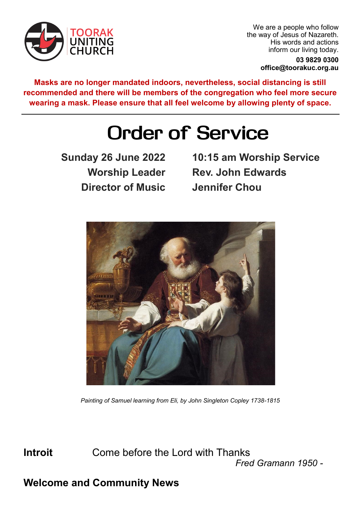

We are a people who follow the way of Jesus of Nazareth. His words and actions inform our living today.

> **03 9829 0300 office@toorakuc.org.au**

**Masks are no longer mandated indoors, nevertheless, social distancing is still recommended and there will be members of the congregation who feel more secure wearing a mask. Please ensure that all feel welcome by allowing plenty of space.** 

# **Order of Service**

**Director of Music Jennifer Chou** 

**Sunday 26 June 2022 10:15 am Worship Service Worship Leader Rev. John Edwards**



*Painting of Samuel learning from Eli, by John Singleton Copley 1738-1815* 

**Introit** Come before the Lord with Thanks *Fred Gramann 1950 -*

# **Welcome and Community News**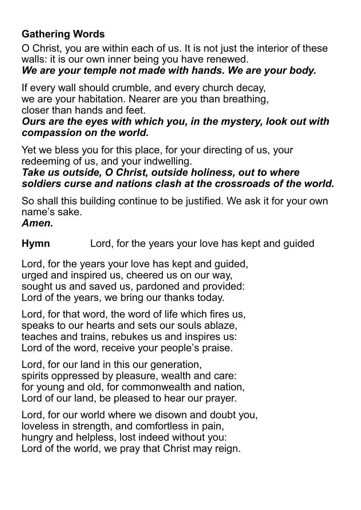# **Gathering Words**

O Christ, you are within each of us. It is not just the interior of these walls: it is our own inner being you have renewed.

#### *We are your temple not made with hands. We are your body.*

If every wall should crumble, and every church decay, we are your habitation. Nearer are you than breathing, closer than hands and feet.

#### *Ours are the eyes with which you, in the mystery, look out with compassion on the world.*

Yet we bless you for this place, for your directing of us, your redeeming of us, and your indwelling.

#### *Take us outside, O Christ, outside holiness, out to where soldiers curse and nations clash at the crossroads of the world.*

So shall this building continue to be justified. We ask it for your own name's sake.

#### *Amen.*

**Hymn** Lord, for the years your love has kept and guided

Lord, for the years your love has kept and guided, urged and inspired us, cheered us on our way, sought us and saved us, pardoned and provided: Lord of the years, we bring our thanks today.

Lord, for that word, the word of life which fires us, speaks to our hearts and sets our souls ablaze, teaches and trains, rebukes us and inspires us: Lord of the word, receive your people's praise.

Lord, for our land in this our generation, spirits oppressed by pleasure, wealth and care: for young and old, for commonwealth and nation, Lord of our land, be pleased to hear our prayer.

Lord, for our world where we disown and doubt you, loveless in strength, and comfortless in pain, hungry and helpless, lost indeed without you: Lord of the world, we pray that Christ may reign.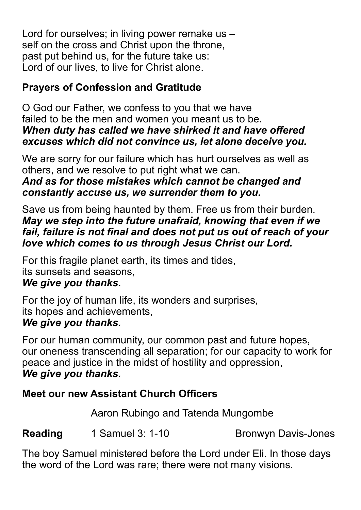Lord for ourselves; in living power remake us – self on the cross and Christ upon the throne, past put behind us, for the future take us: Lord of our lives, to live for Christ alone.

# **Prayers of Confession and Gratitude**

O God our Father, we confess to you that we have failed to be the men and women you meant us to be. *When duty has called we have shirked it and have offered excuses which did not convince us, let alone deceive you.*

We are sorry for our failure which has hurt ourselves as well as others, and we resolve to put right what we can.

*And as for those mistakes which cannot be changed and constantly accuse us, we surrender them to you.*

Save us from being haunted by them. Free us from their burden. *May we step into the future unafraid, knowing that even if we fail, failure is not final and does not put us out of reach of your love which comes to us through Jesus Christ our Lord.*

For this fragile planet earth, its times and tides, its sunsets and seasons,

#### *We give you thanks.*

For the joy of human life, its wonders and surprises, its hopes and achievements,

# *We give you thanks.*

For our human community, our common past and future hopes, our oneness transcending all separation; for our capacity to work for peace and justice in the midst of hostility and oppression, *We give you thanks.*

# **Meet our new Assistant Church Officers**

Aaron Rubingo and Tatenda Mungombe

**Reading** 1 Samuel 3: 1-10 Bronwyn Davis-Jones

The boy Samuel ministered before the Lord under Eli. In those days the word of the Lord was rare; there were not many visions.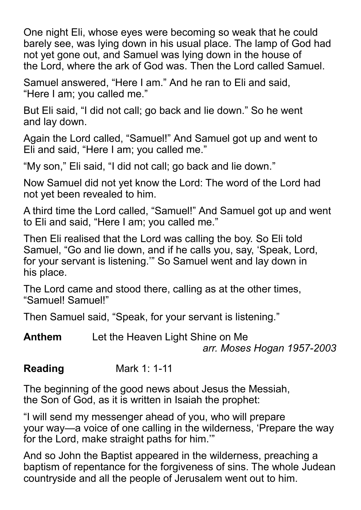One night Eli, whose eyes were becoming so weak that he could barely see, was lying down in his usual place. The lamp of God had not yet gone out, and Samuel was lying down in the house of the Lord, where the ark of God was. Then the Lord called Samuel.

Samuel answered, "Here I am." And he ran to Eli and said, "Here I am; you called me."

But Eli said, "I did not call; go back and lie down." So he went and lay down.

Again the Lord called, "Samuel!" And Samuel got up and went to Eli and said, "Here I am; you called me."

"My son," Eli said, "I did not call; go back and lie down."

Now Samuel did not yet know the Lord: The word of the Lord had not yet been revealed to him.

A third time the Lord called, "Samuel!" And Samuel got up and went to Eli and said, "Here I am; you called me."

Then Eli realised that the Lord was calling the boy. So Eli told Samuel, "Go and lie down, and if he calls you, say, 'Speak, Lord, for your servant is listening.'" So Samuel went and lay down in his place.

The Lord came and stood there, calling as at the other times, "Samuel! Samuel!"

Then Samuel said, "Speak, for your servant is listening."

**Anthem** Let the Heaven Light Shine on Me *arr. Moses Hogan 1957-2003*

# **Reading Mark 1: 1-11**

The beginning of the good news about Jesus the Messiah, the Son of God, as it is written in Isaiah the prophet:

"I will send my messenger ahead of you, who will prepare your way—a voice of one calling in the wilderness, 'Prepare the way for the Lord, make straight paths for him.'"

And so John the Baptist appeared in the wilderness, preaching a baptism of repentance for the forgiveness of sins. The whole Judean countryside and all the people of Jerusalem went out to him.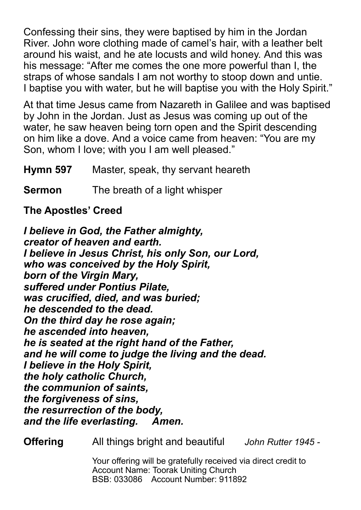Confessing their sins, they were baptised by him in the Jordan River. John wore clothing made of camel's hair, with a leather belt around his waist, and he ate locusts and wild honey. And this was his message: "After me comes the one more powerful than I, the straps of whose sandals I am not worthy to stoop down and untie. I baptise you with water, but he will baptise you with the Holy Spirit."

At that time Jesus came from Nazareth in Galilee and was baptised by John in the Jordan. Just as Jesus was coming up out of the water, he saw heaven being torn open and the Spirit descending on him like a dove. And a voice came from heaven: "You are my Son, whom I love; with you I am well pleased."

**Hymn 597** Master, speak, thy servant heareth

**Sermon** The breath of a light whisper

**The Apostles' Creed**

*I believe in God, the Father almighty, creator of heaven and earth. I believe in Jesus Christ, his only Son, our Lord, who was conceived by the Holy Spirit, born of the Virgin Mary, suffered under Pontius Pilate, was crucified, died, and was buried; he descended to the dead. On the third day he rose again; he ascended into heaven, he is seated at the right hand of the Father, and he will come to judge the living and the dead. I believe in the Holy Spirit, the holy catholic Church, the communion of saints, the forgiveness of sins, the resurrection of the body, and the life everlasting. Amen.*

**Offering** All things bright and beautiful *John Rutter 1945 -*

Your offering will be gratefully received via direct credit to Account Name: Toorak Uniting Church BSB: 033086 Account Number: 911892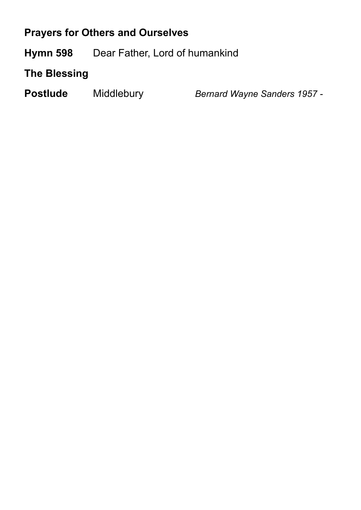# **Prayers for Others and Ourselves**

**Hymn 598** Dear Father, Lord of humankind

**The Blessing**

**Postlude** Middlebury *Bernard Wayne Sanders 1957 -*